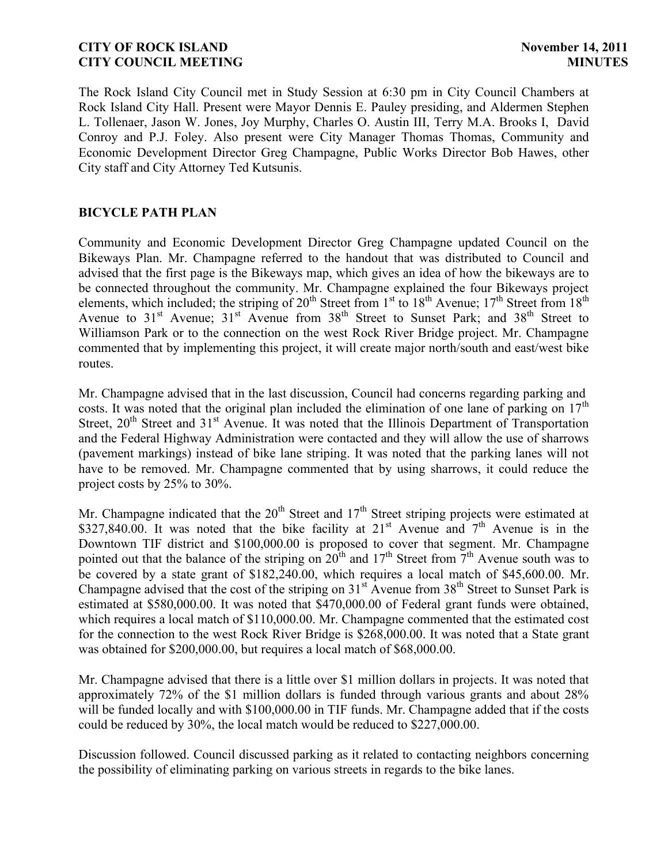## **CITY OF ROCK ISLAND November 14, 2011 CITY COUNCIL MEETING MINUTES**

The Rock Island City Council met in Study Session at 6:30 pm in City Council Chambers at Rock Island City Hall. Present were Mayor Dennis E. Pauley presiding, and Aldermen Stephen L. Tollenaer, Jason W. Jones, Joy Murphy, Charles O. Austin III, Terry M.A. Brooks I, David Conroy and P.J. Foley. Also present were City Manager Thomas Thomas, Community and Economic Development Director Greg Champagne, Public Works Director Bob Hawes, other City staff and City Attorney Ted Kutsunis.

## **BICYCLE PATH PLAN**

Community and Economic Development Director Greg Champagne updated Council on the Bikeways Plan. Mr. Champagne referred to the handout that was distributed to Council and advised that the first page is the Bikeways map, which gives an idea of how the bikeways are to be connected throughout the community. Mr. Champagne explained the four Bikeways project elements, which included; the striping of  $20^{th}$  Street from  $1^{st}$  to  $18^{th}$  Avenue;  $17^{th}$  Street from  $18^{th}$ Avenue to  $31<sup>st</sup>$  Avenue;  $31<sup>st</sup>$  Avenue from  $38<sup>th</sup>$  Street to Sunset Park; and  $38<sup>th</sup>$  Street to Williamson Park or to the connection on the west Rock River Bridge project. Mr. Champagne commented that by implementing this project, it will create major north/south and east/west bike routes.

Mr. Champagne advised that in the last discussion, Council had concerns regarding parking and costs. It was noted that the original plan included the elimination of one lane of parking on  $17<sup>th</sup>$ Street,  $20<sup>th</sup>$  Street and  $31<sup>st</sup>$  Avenue. It was noted that the Illinois Department of Transportation and the Federal Highway Administration were contacted and they will allow the use of sharrows (pavement markings) instead of bike lane striping. It was noted that the parking lanes will not have to be removed. Mr. Champagne commented that by using sharrows, it could reduce the project costs by 25% to 30%.

Mr. Champagne indicated that the  $20<sup>th</sup>$  Street and  $17<sup>th</sup>$  Street striping projects were estimated at \$327,840.00. It was noted that the bike facility at  $21^{st}$  Avenue and  $7^{th}$  Avenue is in the Downtown TIF district and \$100,000.00 is proposed to cover that segment. Mr. Champagne pointed out that the balance of the striping on  $20^{th}$  and  $17^{th}$  Street from  $7^{th}$  Avenue south was to be covered by a state grant of \$182,240.00, which requires a local match of \$45,600.00. Mr. Champagne advised that the cost of the striping on  $31<sup>st</sup>$  Avenue from  $38<sup>th</sup>$  Street to Sunset Park is estimated at \$580,000.00. It was noted that \$470,000.00 of Federal grant funds were obtained, which requires a local match of \$110,000.00. Mr. Champagne commented that the estimated cost for the connection to the west Rock River Bridge is \$268,000.00. It was noted that a State grant was obtained for \$200,000.00, but requires a local match of \$68,000.00.

Mr. Champagne advised that there is a little over \$1 million dollars in projects. It was noted that approximately 72% of the \$1 million dollars is funded through various grants and about 28% will be funded locally and with \$100,000.00 in TIF funds. Mr. Champagne added that if the costs could be reduced by 30%, the local match would be reduced to \$227,000.00.

Discussion followed. Council discussed parking as it related to contacting neighbors concerning the possibility of eliminating parking on various streets in regards to the bike lanes.